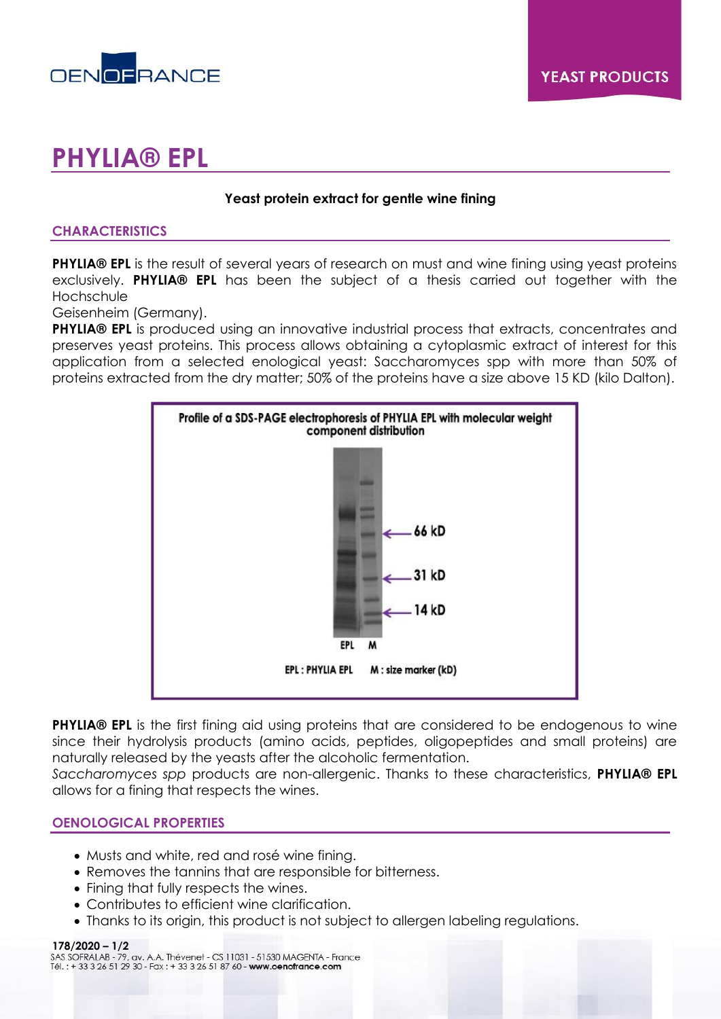

# **PHYLIA® EPL**

# **Yeast protein extract for gentle wine fining**

# **CHARACTERISTICS**

**PHYLIA® EPL** is the result of several years of research on must and wine fining using yeast proteins exclusively. **PHYLIA® EPL** has been the subject of a thesis carried out together with the Hochschule

Geisenheim (Germany).

**PHYLIA® EPL** is produced using an innovative industrial process that extracts, concentrates and preserves yeast proteins. This process allows obtaining a cytoplasmic extract of interest for this application from a selected enological yeast: Saccharomyces spp with more than 50% of proteins extracted from the dry matter; 50% of the proteins have a size above 15 KD (kilo Dalton).



**PHYLIA® EPL** is the first fining aid using proteins that are considered to be endogenous to wine since their hydrolysis products (amino acids, peptides, oligopeptides and small proteins) are naturally released by the yeasts after the alcoholic fermentation.

*Saccharomyces spp* products are non-allergenic. Thanks to these characteristics, **PHYLIA® EPL**  allows for a fining that respects the wines.

## **OENOLOGICAL PROPERTIES**

- Musts and white, red and rosé wine fining.
- Removes the tannins that are responsible for bitterness.
- Fining that fully respects the wines.
- Contributes to efficient wine clarification.
- Thanks to its origin, this product is not subject to allergen labeling regulations.

**178/2020 – 1/2**